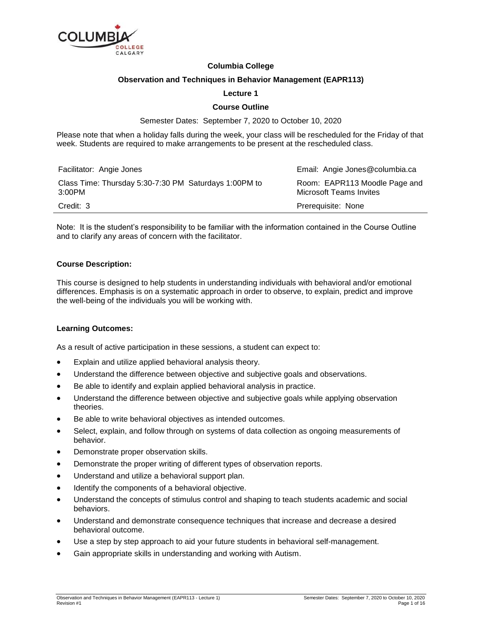

# **Columbia College**

## **Observation and Techniques in Behavior Management (EAPR113)**

# **Lecture 1**

# **Course Outline**

Semester Dates: September 7, 2020 to October 10, 2020

Please note that when a holiday falls during the week, your class will be rescheduled for the Friday of that week. Students are required to make arrangements to be present at the rescheduled class.

| Facilitator: Angie Jones                                        | Email: Angie Jones@columbia.ca                                  |
|-----------------------------------------------------------------|-----------------------------------------------------------------|
| Class Time: Thursday 5:30-7:30 PM Saturdays 1:00PM to<br>3:00PM | Room: EAPR113 Moodle Page and<br><b>Microsoft Teams Invites</b> |
| Credit: 3                                                       | Prerequisite: None                                              |

Note: It is the student's responsibility to be familiar with the information contained in the Course Outline and to clarify any areas of concern with the facilitator.

### **Course Description:**

This course is designed to help students in understanding individuals with behavioral and/or emotional differences. Emphasis is on a systematic approach in order to observe, to explain, predict and improve the well-being of the individuals you will be working with.

### **Learning Outcomes:**

As a result of active participation in these sessions, a student can expect to:

- Explain and utilize applied behavioral analysis theory.
- Understand the difference between objective and subjective goals and observations.
- Be able to identify and explain applied behavioral analysis in practice.
- Understand the difference between objective and subjective goals while applying observation theories.
- Be able to write behavioral objectives as intended outcomes.
- Select, explain, and follow through on systems of data collection as ongoing measurements of behavior.
- Demonstrate proper observation skills.
- Demonstrate the proper writing of different types of observation reports.
- Understand and utilize a behavioral support plan.
- Identify the components of a behavioral objective.
- Understand the concepts of stimulus control and shaping to teach students academic and social behaviors.
- Understand and demonstrate consequence techniques that increase and decrease a desired behavioral outcome.
- Use a step by step approach to aid your future students in behavioral self-management.
- Gain appropriate skills in understanding and working with Autism.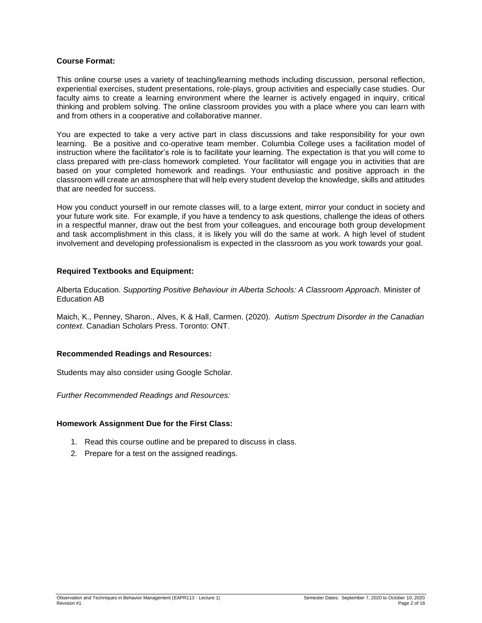# **Course Format:**

This online course uses a variety of teaching/learning methods including discussion, personal reflection, experiential exercises, student presentations, role-plays, group activities and especially case studies. Our faculty aims to create a learning environment where the learner is actively engaged in inquiry, critical thinking and problem solving. The online classroom provides you with a place where you can learn with and from others in a cooperative and collaborative manner.

You are expected to take a very active part in class discussions and take responsibility for your own learning. Be a positive and co-operative team member. Columbia College uses a facilitation model of instruction where the facilitator's role is to facilitate your learning. The expectation is that you will come to class prepared with pre-class homework completed. Your facilitator will engage you in activities that are based on your completed homework and readings. Your enthusiastic and positive approach in the classroom will create an atmosphere that will help every student develop the knowledge, skills and attitudes that are needed for success.

How you conduct yourself in our remote classes will, to a large extent, mirror your conduct in society and your future work site. For example, if you have a tendency to ask questions, challenge the ideas of others in a respectful manner, draw out the best from your colleagues, and encourage both group development and task accomplishment in this class, it is likely you will do the same at work. A high level of student involvement and developing professionalism is expected in the classroom as you work towards your goal.

# **Required Textbooks and Equipment:**

Alberta Education. *Supporting Positive Behaviour in Alberta Schools: A Classroom Approach.* Minister of Education AB

Maich, K., Penney, Sharon., Alves, K & Hall, Carmen. (2020). *Autism Spectrum Disorder in the Canadian context*. Canadian Scholars Press. Toronto: ONT.

### **Recommended Readings and Resources:**

Students may also consider using Google Scholar.

*Further Recommended Readings and Resources:*

### **Homework Assignment Due for the First Class:**

- 1. Read this course outline and be prepared to discuss in class.
- 2. Prepare for a test on the assigned readings.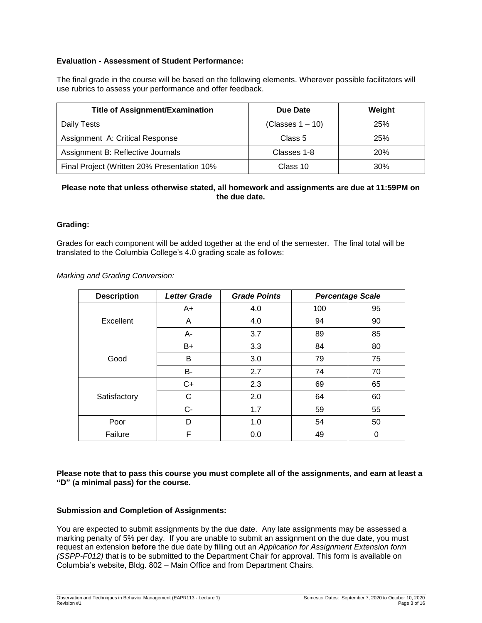# **Evaluation - Assessment of Student Performance:**

The final grade in the course will be based on the following elements. Wherever possible facilitators will use rubrics to assess your performance and offer feedback.

| <b>Title of Assignment/Examination</b>      | Due Date            | Weight |
|---------------------------------------------|---------------------|--------|
| Daily Tests                                 | (Classes $1 - 10$ ) | 25%    |
| Assignment A: Critical Response             | Class 5             | 25%    |
| Assignment B: Reflective Journals           | Classes 1-8         | 20%    |
| Final Project (Written 20% Presentation 10% | Class 10            | 30%    |

# **Please note that unless otherwise stated, all homework and assignments are due at 11:59PM on the due date.**

# **Grading:**

Grades for each component will be added together at the end of the semester. The final total will be translated to the Columbia College's 4.0 grading scale as follows:

*Marking and Grading Conversion:*

| <b>Description</b> | <b>Letter Grade</b> | <b>Grade Points</b> |     | <b>Percentage Scale</b> |
|--------------------|---------------------|---------------------|-----|-------------------------|
|                    | A+                  | 4.0                 | 100 | 95                      |
| Excellent          | A                   | 4.0                 | 94  | 90                      |
|                    | A-                  | 3.7                 | 89  | 85                      |
|                    | $B+$                | 3.3                 | 84  | 80                      |
| Good               | B                   | 3.0                 | 79  | 75                      |
|                    | <b>B-</b>           | 2.7                 | 74  | 70                      |
|                    | $C+$                | 2.3                 | 69  | 65                      |
| Satisfactory       | С                   | 2.0                 | 64  | 60                      |
|                    | $C-$                | 1.7                 | 59  | 55                      |
| Poor               | D                   | 1.0                 | 54  | 50                      |
| Failure            | F                   | 0.0                 | 49  | 0                       |

**Please note that to pass this course you must complete all of the assignments, and earn at least a "D" (a minimal pass) for the course.**

### **Submission and Completion of Assignments:**

You are expected to submit assignments by the due date. Any late assignments may be assessed a marking penalty of 5% per day. If you are unable to submit an assignment on the due date, you must request an extension **before** the due date by filling out an *Application for Assignment Extension form (SSPP-F012)* that is to be submitted to the Department Chair for approval. This form is available on Columbia's website, Bldg. 802 – Main Office and from Department Chairs.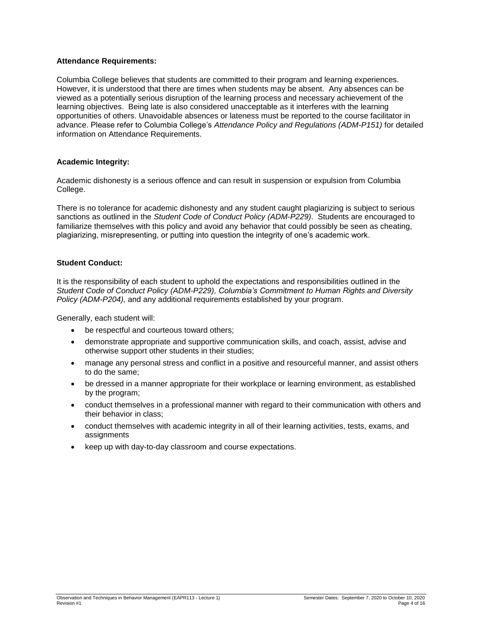# **Attendance Requirements:**

Columbia College believes that students are committed to their program and learning experiences. However, it is understood that there are times when students may be absent. Any absences can be viewed as a potentially serious disruption of the learning process and necessary achievement of the learning objectives. Being late is also considered unacceptable as it interferes with the learning opportunities of others. Unavoidable absences or lateness must be reported to the course facilitator in advance. Please refer to Columbia College's *Attendance Policy and Regulations (ADM-P151)* for detailed information on Attendance Requirements.

# **Academic Integrity:**

Academic dishonesty is a serious offence and can result in suspension or expulsion from Columbia College.

There is no tolerance for academic dishonesty and any student caught plagiarizing is subject to serious sanctions as outlined in the *Student Code of Conduct Policy (ADM-P229)*. Students are encouraged to familiarize themselves with this policy and avoid any behavior that could possibly be seen as cheating, plagiarizing, misrepresenting, or putting into question the integrity of one's academic work.

### **Student Conduct:**

It is the responsibility of each student to uphold the expectations and responsibilities outlined in the *Student Code of Conduct Policy (ADM-P229), Columbia's Commitment to Human Rights and Diversity Policy (ADM-P204),* and any additional requirements established by your program.

Generally, each student will:

- be respectful and courteous toward others:
- demonstrate appropriate and supportive communication skills, and coach, assist, advise and otherwise support other students in their studies;
- manage any personal stress and conflict in a positive and resourceful manner, and assist others to do the same;
- be dressed in a manner appropriate for their workplace or learning environment, as established by the program;
- conduct themselves in a professional manner with regard to their communication with others and their behavior in class;
- conduct themselves with academic integrity in all of their learning activities, tests, exams, and assignments
- keep up with day-to-day classroom and course expectations.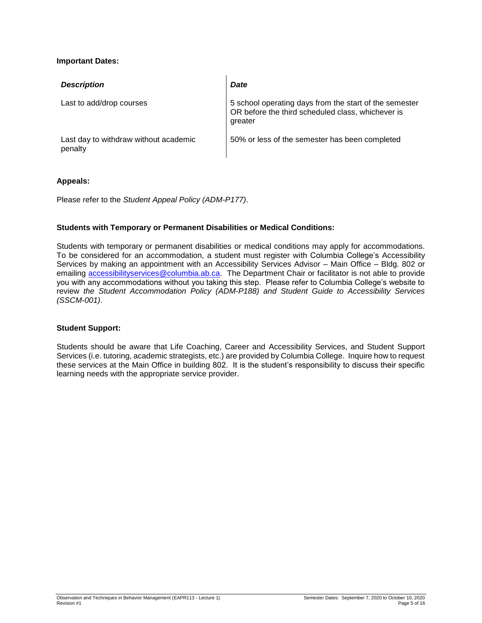# **Important Dates:**

| <b>Description</b>                               | <b>Date</b>                                                                                                            |
|--------------------------------------------------|------------------------------------------------------------------------------------------------------------------------|
| Last to add/drop courses                         | 5 school operating days from the start of the semester<br>OR before the third scheduled class, whichever is<br>greater |
| Last day to withdraw without academic<br>penalty | 50% or less of the semester has been completed                                                                         |

# **Appeals:**

Please refer to the *Student Appeal Policy (ADM-P177)*.

# **Students with Temporary or Permanent Disabilities or Medical Conditions:**

Students with temporary or permanent disabilities or medical conditions may apply for accommodations. To be considered for an accommodation, a student must register with Columbia College's Accessibility Services by making an appointment with an Accessibility Services Advisor – Main Office – Bldg. 802 or emailing [accessibilityservices@columbia.ab.ca.](mailto:accessibilityservices@columbia.ab.ca) The Department Chair or facilitator is not able to provide you with any accommodations without you taking this step. Please refer to Columbia College's website to review *the Student Accommodation Policy (ADM-P188) and Student Guide to Accessibility Services (SSCM-001)*.

### **Student Support:**

Students should be aware that Life Coaching, Career and Accessibility Services, and Student Support Services (i.e. tutoring, academic strategists, etc.) are provided by Columbia College. Inquire how to request these services at the Main Office in building 802. It is the student's responsibility to discuss their specific learning needs with the appropriate service provider.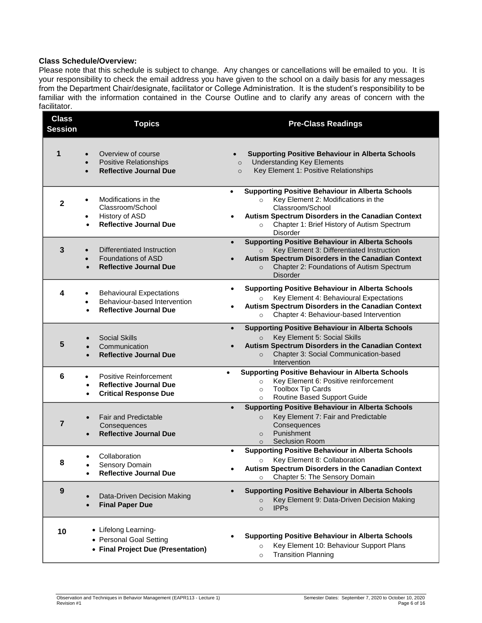# **Class Schedule/Overview:**

Please note that this schedule is subject to change. Any changes or cancellations will be emailed to you. It is your responsibility to check the email address you have given to the school on a daily basis for any messages from the Department Chair/designate, facilitator or College Administration. It is the student's responsibility to be familiar with the information contained in the Course Outline and to clarify any areas of concern with the facilitator.

| <b>Class</b><br><b>Session</b> | <b>Topics</b>                                                                                                         | <b>Pre-Class Readings</b>                                                                                                                                                                                                                                             |
|--------------------------------|-----------------------------------------------------------------------------------------------------------------------|-----------------------------------------------------------------------------------------------------------------------------------------------------------------------------------------------------------------------------------------------------------------------|
| 1                              | Overview of course<br><b>Positive Relationships</b><br><b>Reflective Journal Due</b>                                  | <b>Supporting Positive Behaviour in Alberta Schools</b><br><b>Understanding Key Elements</b><br>$\circ$<br>Key Element 1: Positive Relationships<br>$\circ$                                                                                                           |
| $\mathbf{2}$                   | Modifications in the<br>$\bullet$<br>Classroom/School<br>History of ASD<br>$\bullet$<br><b>Reflective Journal Due</b> | <b>Supporting Positive Behaviour in Alberta Schools</b><br>$\bullet$<br>Key Element 2: Modifications in the<br>$\circ$<br>Classroom/School<br>Autism Spectrum Disorders in the Canadian Context<br>Chapter 1: Brief History of Autism Spectrum<br>$\circ$<br>Disorder |
| 3                              | Differentiated Instruction<br><b>Foundations of ASD</b><br><b>Reflective Journal Due</b>                              | <b>Supporting Positive Behaviour in Alberta Schools</b><br>$\bullet$<br>Key Element 3: Differentiated Instruction<br>$\circ$<br>Autism Spectrum Disorders in the Canadian Context<br>Chapter 2: Foundations of Autism Spectrum<br>$\Omega$<br><b>Disorder</b>         |
| 4                              | <b>Behavioural Expectations</b><br>Behaviour-based Intervention<br>$\bullet$<br><b>Reflective Journal Due</b>         | <b>Supporting Positive Behaviour in Alberta Schools</b><br>Key Element 4: Behavioural Expectations<br>Autism Spectrum Disorders in the Canadian Context<br>Chapter 4: Behaviour-based Intervention                                                                    |
| 5                              | <b>Social Skills</b><br>Communication<br><b>Reflective Journal Due</b>                                                | <b>Supporting Positive Behaviour in Alberta Schools</b><br>$\bullet$<br>Key Element 5: Social Skills<br>$\Omega$<br>Autism Spectrum Disorders in the Canadian Context<br>Chapter 3: Social Communication-based<br>$\circ$<br>Intervention                             |
| 6                              | Positive Reinforcement<br><b>Reflective Journal Due</b><br>$\bullet$<br><b>Critical Response Due</b><br>$\bullet$     | <b>Supporting Positive Behaviour in Alberta Schools</b><br>Key Element 6: Positive reinforcement<br>$\circ$<br><b>Toolbox Tip Cards</b><br>$\circ$<br>Routine Based Support Guide<br>$\circ$                                                                          |
| 7                              | <b>Fair and Predictable</b><br>Consequences<br><b>Reflective Journal Due</b>                                          | <b>Supporting Positive Behaviour in Alberta Schools</b><br>$\bullet$<br>Key Element 7: Fair and Predictable<br>$\circ$<br>Consequences<br>Punishment<br>$\circ$<br><b>Seclusion Room</b><br>$\circ$                                                                   |
| 8                              | Collaboration<br>Sensory Domain<br><b>Reflective Journal Due</b>                                                      | <b>Supporting Positive Behaviour in Alberta Schools</b><br>Key Element 8: Collaboration<br>$\circ$<br>Autism Spectrum Disorders in the Canadian Context<br>Chapter 5: The Sensory Domain<br>$\circ$                                                                   |
| 9                              | Data-Driven Decision Making<br><b>Final Paper Due</b>                                                                 | <b>Supporting Positive Behaviour in Alberta Schools</b><br>Key Element 9: Data-Driven Decision Making<br>$\circ$<br><b>IPPS</b><br>$\circ$                                                                                                                            |
| 10                             | • Lifelong Learning-<br>• Personal Goal Setting<br>• Final Project Due (Presentation)                                 | <b>Supporting Positive Behaviour in Alberta Schools</b><br>Key Element 10: Behaviour Support Plans<br>$\circ$<br><b>Transition Planning</b><br>$\circ$                                                                                                                |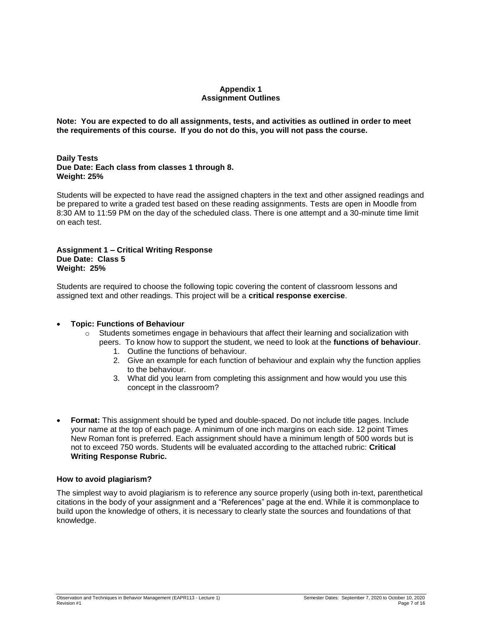# **Appendix 1 Assignment Outlines**

**Note: You are expected to do all assignments, tests, and activities as outlined in order to meet the requirements of this course. If you do not do this, you will not pass the course.** 

**Daily Tests Due Date: Each class from classes 1 through 8. Weight: 25%**

Students will be expected to have read the assigned chapters in the text and other assigned readings and be prepared to write a graded test based on these reading assignments. Tests are open in Moodle from 8:30 AM to 11:59 PM on the day of the scheduled class. There is one attempt and a 30-minute time limit on each test.

# **Assignment 1 – Critical Writing Response Due Date: Class 5 Weight: 25%**

Students are required to choose the following topic covering the content of classroom lessons and assigned text and other readings. This project will be a **critical response exercise**.

# **Topic: Functions of Behaviour**

- $\circ$  Students sometimes engage in behaviours that affect their learning and socialization with
	- peers. To know how to support the student, we need to look at the **functions of behaviour**.
		- 1. Outline the functions of behaviour.
		- 2. Give an example for each function of behaviour and explain why the function applies to the behaviour.
		- 3. What did you learn from completing this assignment and how would you use this concept in the classroom?
- **Format:** This assignment should be typed and double-spaced. Do not include title pages. Include your name at the top of each page. A minimum of one inch margins on each side. 12 point Times New Roman font is preferred. Each assignment should have a minimum length of 500 words but is not to exceed 750 words. Students will be evaluated according to the attached rubric: **Critical Writing Response Rubric.**

### **How to avoid plagiarism?**

The simplest way to avoid plagiarism is to reference any source properly (using both in-text, parenthetical citations in the body of your assignment and a "References" page at the end. While it is commonplace to build upon the knowledge of others, it is necessary to clearly state the sources and foundations of that knowledge.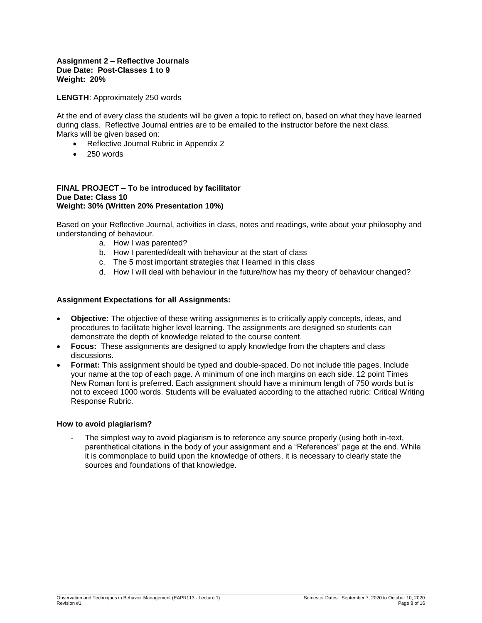### **Assignment 2 – Reflective Journals Due Date: Post-Classes 1 to 9 Weight: 20%**

**LENGTH**: Approximately 250 words

At the end of every class the students will be given a topic to reflect on, based on what they have learned during class. Reflective Journal entries are to be emailed to the instructor before the next class. Marks will be given based on:

- Reflective Journal Rubric in Appendix 2
- $\bullet$  250 words

#### **FINAL PROJECT – To be introduced by facilitator Due Date: Class 10 Weight: 30% (Written 20% Presentation 10%)**

Based on your Reflective Journal, activities in class, notes and readings, write about your philosophy and understanding of behaviour.

- a. How I was parented?
- b. How I parented/dealt with behaviour at the start of class
- c. The 5 most important strategies that I learned in this class
- d. How I will deal with behaviour in the future/how has my theory of behaviour changed?

# **Assignment Expectations for all Assignments:**

- **Objective:** The objective of these writing assignments is to critically apply concepts, ideas, and procedures to facilitate higher level learning. The assignments are designed so students can demonstrate the depth of knowledge related to the course content.
- **Focus:** These assignments are designed to apply knowledge from the chapters and class discussions.
- **Format:** This assignment should be typed and double-spaced. Do not include title pages. Include your name at the top of each page. A minimum of one inch margins on each side. 12 point Times New Roman font is preferred. Each assignment should have a minimum length of 750 words but is not to exceed 1000 words. Students will be evaluated according to the attached rubric: Critical Writing Response Rubric.

### **How to avoid plagiarism?**

The simplest way to avoid plagiarism is to reference any source properly (using both in-text, parenthetical citations in the body of your assignment and a "References" page at the end. While it is commonplace to build upon the knowledge of others, it is necessary to clearly state the sources and foundations of that knowledge.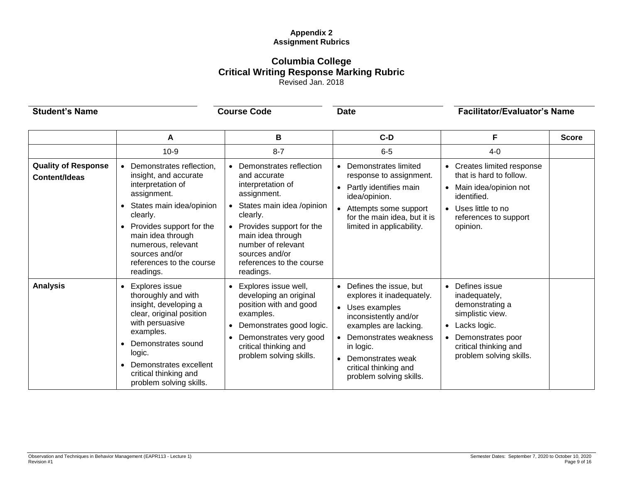# **Appendix 2 Assignment Rubrics**

# **Columbia College Critical Writing Response Marking Rubric** Revised Jan. 2018

**Student's Name Course Code Date Course Code Date Facilitator/Evaluator's Name** 

|                                             | A                                                                                                                                                                                                                                                                            | В                                                                                                                                                                                                                                                      | $C-D$                                                                                                                                                                                                                                     | F                                                                                                                                                                  | <b>Score</b> |
|---------------------------------------------|------------------------------------------------------------------------------------------------------------------------------------------------------------------------------------------------------------------------------------------------------------------------------|--------------------------------------------------------------------------------------------------------------------------------------------------------------------------------------------------------------------------------------------------------|-------------------------------------------------------------------------------------------------------------------------------------------------------------------------------------------------------------------------------------------|--------------------------------------------------------------------------------------------------------------------------------------------------------------------|--------------|
|                                             | $10-9$                                                                                                                                                                                                                                                                       | $8 - 7$                                                                                                                                                                                                                                                | $6 - 5$                                                                                                                                                                                                                                   | $4 - 0$                                                                                                                                                            |              |
| <b>Quality of Response</b><br>Content/Ideas | Demonstrates reflection,<br>insight, and accurate<br>interpretation of<br>assignment.<br>States main idea/opinion<br>$\bullet$<br>clearly.<br>Provides support for the<br>main idea through<br>numerous, relevant<br>sources and/or<br>references to the course<br>readings. | Demonstrates reflection<br>and accurate<br>interpretation of<br>assignment.<br>States main idea /opinion<br>clearly.<br>Provides support for the<br>main idea through<br>number of relevant<br>sources and/or<br>references to the course<br>readings. | • Demonstrates limited<br>response to assignment.<br>Partly identifies main<br>idea/opinion.<br>• Attempts some support<br>for the main idea, but it is<br>limited in applicability.                                                      | Creates limited response<br>that is hard to follow.<br>Main idea/opinion not<br>identified.<br>Uses little to no<br>$\bullet$<br>references to support<br>opinion. |              |
| <b>Analysis</b>                             | Explores issue<br>thoroughly and with<br>insight, developing a<br>clear, original position<br>with persuasive<br>examples.<br>Demonstrates sound<br>logic.<br>Demonstrates excellent<br>critical thinking and<br>problem solving skills.                                     | Explores issue well,<br>developing an original<br>position with and good<br>examples.<br>Demonstrates good logic.<br>Demonstrates very good<br>critical thinking and<br>problem solving skills.                                                        | • Defines the issue, but<br>explores it inadequately.<br>• Uses examples<br>inconsistently and/or<br>examples are lacking.<br>Demonstrates weakness<br>in logic.<br>Demonstrates weak<br>critical thinking and<br>problem solving skills. | Defines issue<br>inadequately,<br>demonstrating a<br>simplistic view.<br>Lacks logic.<br>Demonstrates poor<br>critical thinking and<br>problem solving skills.     |              |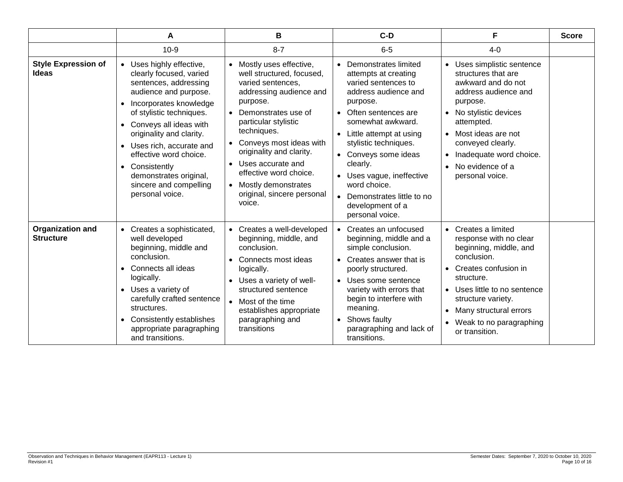|                                             | A                                                                                                                                                                                                                                                                                                                                                                                | в                                                                                                                                                                                                                                                                                                                                                               | $C-D$                                                                                                                                                                                                                                                                                                                                                              | F                                                                                                                                                                                                                                                                                                         | <b>Score</b> |
|---------------------------------------------|----------------------------------------------------------------------------------------------------------------------------------------------------------------------------------------------------------------------------------------------------------------------------------------------------------------------------------------------------------------------------------|-----------------------------------------------------------------------------------------------------------------------------------------------------------------------------------------------------------------------------------------------------------------------------------------------------------------------------------------------------------------|--------------------------------------------------------------------------------------------------------------------------------------------------------------------------------------------------------------------------------------------------------------------------------------------------------------------------------------------------------------------|-----------------------------------------------------------------------------------------------------------------------------------------------------------------------------------------------------------------------------------------------------------------------------------------------------------|--------------|
|                                             | $10 - 9$                                                                                                                                                                                                                                                                                                                                                                         | $8 - 7$                                                                                                                                                                                                                                                                                                                                                         | $6-5$                                                                                                                                                                                                                                                                                                                                                              | $4 - 0$                                                                                                                                                                                                                                                                                                   |              |
| <b>Style Expression of</b><br><b>Ideas</b>  | • Uses highly effective,<br>clearly focused, varied<br>sentences, addressing<br>audience and purpose.<br>Incorporates knowledge<br>$\bullet$<br>of stylistic techniques.<br>• Conveys all ideas with<br>originality and clarity.<br>• Uses rich, accurate and<br>effective word choice.<br>• Consistently<br>demonstrates original,<br>sincere and compelling<br>personal voice. | Mostly uses effective,<br>well structured, focused,<br>varied sentences,<br>addressing audience and<br>purpose.<br>Demonstrates use of<br>particular stylistic<br>techniques.<br>Conveys most ideas with<br>originality and clarity.<br>Uses accurate and<br>effective word choice.<br>Mostly demonstrates<br>$\bullet$<br>original, sincere personal<br>voice. | Demonstrates limited<br>attempts at creating<br>varied sentences to<br>address audience and<br>purpose.<br>• Often sentences are<br>somewhat awkward.<br>• Little attempt at using<br>stylistic techniques.<br>• Conveys some ideas<br>clearly.<br>• Uses vague, ineffective<br>word choice.<br>• Demonstrates little to no<br>development of a<br>personal voice. | Uses simplistic sentence<br>$\bullet$<br>structures that are<br>awkward and do not<br>address audience and<br>purpose.<br>• No stylistic devices<br>attempted.<br>• Most ideas are not<br>conveyed clearly.<br>Inadequate word choice.<br>$\bullet$<br>No evidence of a<br>$\bullet$<br>personal voice.   |              |
| <b>Organization and</b><br><b>Structure</b> | • Creates a sophisticated,<br>well developed<br>beginning, middle and<br>conclusion.<br>Connects all ideas<br>$\bullet$<br>logically.<br>• Uses a variety of<br>carefully crafted sentence<br>structures.<br>Consistently establishes<br>$\bullet$<br>appropriate paragraphing<br>and transitions.                                                                               | Creates a well-developed<br>beginning, middle, and<br>conclusion.<br>Connects most ideas<br>logically.<br>Uses a variety of well-<br>structured sentence<br>Most of the time<br>establishes appropriate<br>paragraphing and<br>transitions                                                                                                                      | • Creates an unfocused<br>beginning, middle and a<br>simple conclusion.<br>• Creates answer that is<br>poorly structured.<br>• Uses some sentence<br>variety with errors that<br>begin to interfere with<br>meaning.<br>• Shows faulty<br>paragraphing and lack of<br>transitions.                                                                                 | Creates a limited<br>$\bullet$<br>response with no clear<br>beginning, middle, and<br>conclusion.<br>Creates confusion in<br>$\bullet$<br>structure.<br>Uses little to no sentence<br>$\bullet$<br>structure variety.<br>Many structural errors<br>$\bullet$<br>Weak to no paragraphing<br>or transition. |              |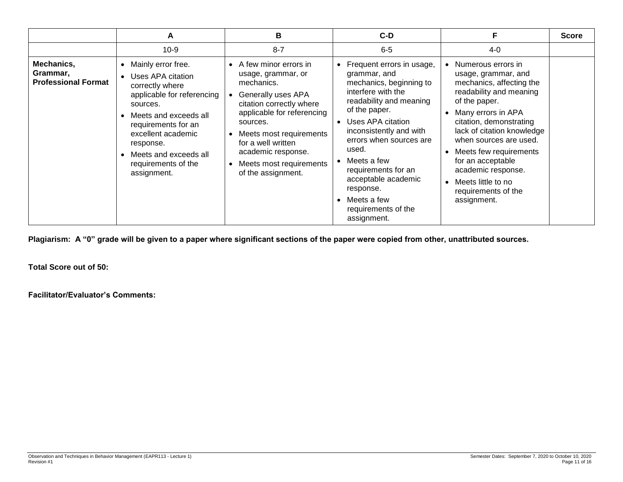|                                                      | A                                                                                                                                                                                                                                                                                | В                                                                                                                                                                                                                                                                                              | $C-D$                                                                                                                                                                                                                                                                                                                                                     |                                                                                                                                                                                                                                                                                                                                                             | <b>Score</b> |
|------------------------------------------------------|----------------------------------------------------------------------------------------------------------------------------------------------------------------------------------------------------------------------------------------------------------------------------------|------------------------------------------------------------------------------------------------------------------------------------------------------------------------------------------------------------------------------------------------------------------------------------------------|-----------------------------------------------------------------------------------------------------------------------------------------------------------------------------------------------------------------------------------------------------------------------------------------------------------------------------------------------------------|-------------------------------------------------------------------------------------------------------------------------------------------------------------------------------------------------------------------------------------------------------------------------------------------------------------------------------------------------------------|--------------|
|                                                      | $10-9$                                                                                                                                                                                                                                                                           | $8 - 7$                                                                                                                                                                                                                                                                                        | $6-5$                                                                                                                                                                                                                                                                                                                                                     | $4 - 0$                                                                                                                                                                                                                                                                                                                                                     |              |
| Mechanics,<br>Grammar,<br><b>Professional Format</b> | Mainly error free.<br>$\bullet$<br>Uses APA citation<br>correctly where<br>applicable for referencing<br>sources.<br>Meets and exceeds all<br>requirements for an<br>excellent academic<br>response.<br>Meets and exceeds all<br>$\bullet$<br>requirements of the<br>assignment. | • A few minor errors in<br>usage, grammar, or<br>mechanics.<br>Generally uses APA<br>citation correctly where<br>applicable for referencing<br>sources.<br>• Meets most requirements<br>for a well written<br>academic response.<br>Meets most requirements<br>$\bullet$<br>of the assignment. | Frequent errors in usage,<br>grammar, and<br>mechanics, beginning to<br>interfere with the<br>readability and meaning<br>of the paper.<br>Uses APA citation<br>inconsistently and with<br>errors when sources are<br>used.<br>Meets a few<br>requirements for an<br>acceptable academic<br>response.<br>Meets a few<br>requirements of the<br>assignment. | Numerous errors in<br>usage, grammar, and<br>mechanics, affecting the<br>readability and meaning<br>of the paper.<br>Many errors in APA<br>citation, demonstrating<br>lack of citation knowledge<br>when sources are used.<br>Meets few requirements<br>for an acceptable<br>academic response.<br>Meets little to no<br>requirements of the<br>assignment. |              |

**Plagiarism: A "0" grade will be given to a paper where significant sections of the paper were copied from other, unattributed sources.**

**Total Score out of 50:**

**Facilitator/Evaluator's Comments:**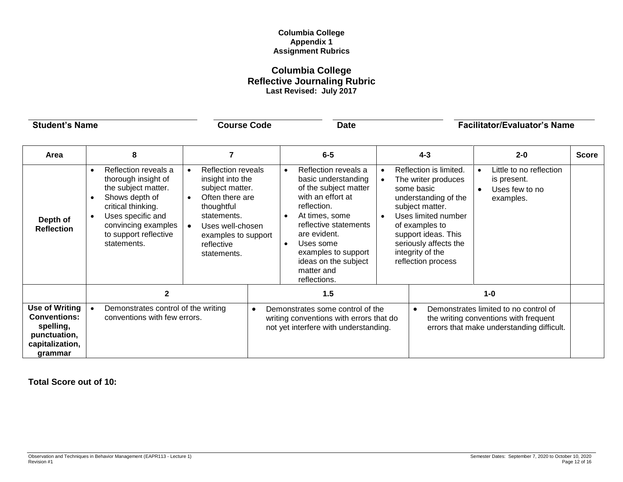# **Columbia College Appendix 1 Assignment Rubrics**

# **Columbia College Reflective Journaling Rubric Last Revised: July 2017**

| <b>Student's Name</b>                                                                                   |                                                                                                                                                                                                | <b>Course Code</b>                                                                                                                                                                                                 |           | <b>Date</b>                                                                                                                                                                                                                                                   |                        |                                                                                                                                                                                                                                           | <b>Facilitator/Evaluator's Name</b>                                                                                         |              |
|---------------------------------------------------------------------------------------------------------|------------------------------------------------------------------------------------------------------------------------------------------------------------------------------------------------|--------------------------------------------------------------------------------------------------------------------------------------------------------------------------------------------------------------------|-----------|---------------------------------------------------------------------------------------------------------------------------------------------------------------------------------------------------------------------------------------------------------------|------------------------|-------------------------------------------------------------------------------------------------------------------------------------------------------------------------------------------------------------------------------------------|-----------------------------------------------------------------------------------------------------------------------------|--------------|
| Area                                                                                                    | 8                                                                                                                                                                                              | $\overline{7}$                                                                                                                                                                                                     |           | $6-5$                                                                                                                                                                                                                                                         |                        | $4 - 3$                                                                                                                                                                                                                                   | $2 - 0$                                                                                                                     | <b>Score</b> |
| Depth of<br><b>Reflection</b>                                                                           | Reflection reveals a<br>thorough insight of<br>the subject matter.<br>Shows depth of<br>critical thinking.<br>Uses specific and<br>convincing examples<br>to support reflective<br>statements. | <b>Reflection reveals</b><br>$\bullet$<br>insight into the<br>subject matter.<br>Often there are<br>$\bullet$<br>thoughtful<br>statements.<br>Uses well-chosen<br>examples to support<br>reflective<br>statements. |           | Reflection reveals a<br>basic understanding<br>of the subject matter<br>with an effort at<br>reflection.<br>At times, some<br>reflective statements<br>are evident.<br>Uses some<br>examples to support<br>ideas on the subject<br>matter and<br>reflections. | $\bullet$<br>$\bullet$ | Reflection is limited.<br>The writer produces<br>some basic<br>understanding of the<br>subject matter.<br>Uses limited number<br>of examples to<br>support ideas. This<br>seriously affects the<br>integrity of the<br>reflection process | Little to no reflection<br>is present.<br>Uses few to no<br>examples.                                                       |              |
|                                                                                                         | $\mathbf{2}$                                                                                                                                                                                   |                                                                                                                                                                                                                    |           | 1.5                                                                                                                                                                                                                                                           |                        |                                                                                                                                                                                                                                           | $1-0$                                                                                                                       |              |
| <b>Use of Writing</b><br><b>Conventions:</b><br>spelling,<br>punctuation,<br>capitalization,<br>arammar | Demonstrates control of the writing<br>conventions with few errors.                                                                                                                            |                                                                                                                                                                                                                    | $\bullet$ | Demonstrates some control of the<br>writing conventions with errors that do<br>not yet interfere with understanding.                                                                                                                                          |                        | $\bullet$                                                                                                                                                                                                                                 | Demonstrates limited to no control of<br>the writing conventions with frequent<br>errors that make understanding difficult. |              |

**Total Score out of 10:**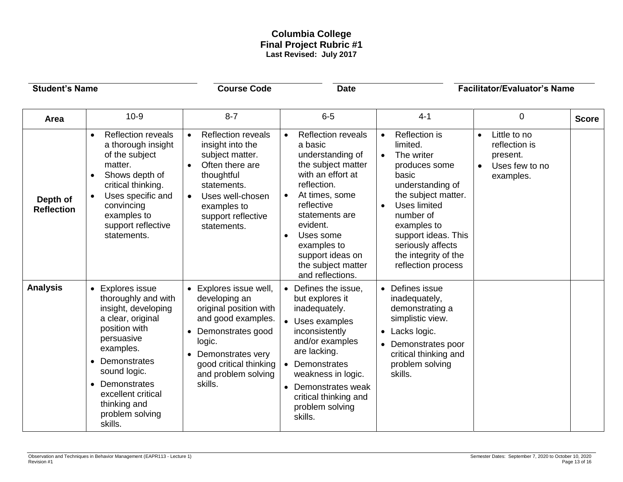# **Columbia College Final Project Rubric #1 Last Revised: July 2017**

| <b>Student's Name</b>         |                                                                                                                                                                                                                                                     | <b>Course Code</b>                                                                                                                                                                                    | <b>Date</b>                                                                                                                                                                                                                                                                |                                                                                                                                                                                                                                                                                           | <b>Facilitator/Evaluator's Name</b>                                                                |              |
|-------------------------------|-----------------------------------------------------------------------------------------------------------------------------------------------------------------------------------------------------------------------------------------------------|-------------------------------------------------------------------------------------------------------------------------------------------------------------------------------------------------------|----------------------------------------------------------------------------------------------------------------------------------------------------------------------------------------------------------------------------------------------------------------------------|-------------------------------------------------------------------------------------------------------------------------------------------------------------------------------------------------------------------------------------------------------------------------------------------|----------------------------------------------------------------------------------------------------|--------------|
| Area                          | $10-9$                                                                                                                                                                                                                                              | $8 - 7$                                                                                                                                                                                               | $6-5$                                                                                                                                                                                                                                                                      | $4 - 1$                                                                                                                                                                                                                                                                                   | 0                                                                                                  | <b>Score</b> |
| Depth of<br><b>Reflection</b> | <b>Reflection reveals</b><br>$\bullet$<br>a thorough insight<br>of the subject<br>matter.<br>Shows depth of<br>critical thinking.<br>Uses specific and<br>$\bullet$<br>convincing<br>examples to<br>support reflective<br>statements.               | <b>Reflection reveals</b><br>insight into the<br>subject matter.<br>Often there are<br>thoughtful<br>statements.<br>Uses well-chosen<br>examples to<br>support reflective<br>statements.              | <b>Reflection reveals</b><br>a basic<br>understanding of<br>the subject matter<br>with an effort at<br>reflection.<br>At times, some<br>reflective<br>statements are<br>evident.<br>Uses some<br>examples to<br>support ideas on<br>the subject matter<br>and reflections. | Reflection is<br>$\bullet$<br>limited.<br>The writer<br>$\bullet$<br>produces some<br>basic<br>understanding of<br>the subject matter.<br>Uses limited<br>$\bullet$<br>number of<br>examples to<br>support ideas. This<br>seriously affects<br>the integrity of the<br>reflection process | Little to no<br>$\bullet$<br>reflection is<br>present.<br>Uses few to no<br>$\bullet$<br>examples. |              |
| <b>Analysis</b>               | • Explores issue<br>thoroughly and with<br>insight, developing<br>a clear, original<br>position with<br>persuasive<br>examples.<br>Demonstrates<br>sound logic.<br>Demonstrates<br>excellent critical<br>thinking and<br>problem solving<br>skills. | Explores issue well,<br>developing an<br>original position with<br>and good examples.<br>Demonstrates good<br>logic.<br>Demonstrates very<br>good critical thinking<br>and problem solving<br>skills. | • Defines the issue,<br>but explores it<br>inadequately.<br>• Uses examples<br>inconsistently<br>and/or examples<br>are lacking.<br>Demonstrates<br>weakness in logic.<br>• Demonstrates weak<br>critical thinking and<br>problem solving<br>skills.                       | Defines issue<br>$\bullet$<br>inadequately,<br>demonstrating a<br>simplistic view.<br>Lacks logic.<br>$\bullet$<br>Demonstrates poor<br>critical thinking and<br>problem solving<br>skills.                                                                                               |                                                                                                    |              |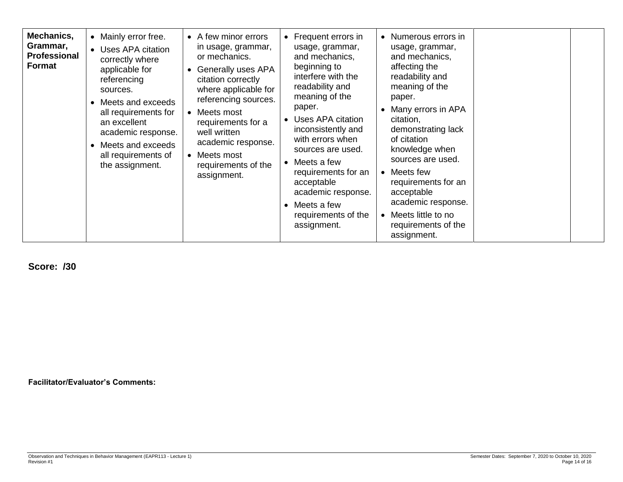| Mechanics,<br>Grammar,<br><b>Professional</b><br>Format | • Mainly error free.<br>• Uses APA citation<br>correctly where<br>applicable for<br>referencing<br>sources.<br>• Meets and exceeds<br>all requirements for<br>an excellent<br>academic response.<br>• Meets and exceeds<br>all requirements of<br>the assignment. | • A few minor errors<br>in usage, grammar,<br>or mechanics.<br>Generally uses APA<br>$\bullet$<br>citation correctly<br>where applicable for<br>referencing sources.<br>Meets most<br>$\bullet$<br>requirements for a<br>well written<br>academic response.<br>• Meets most<br>requirements of the<br>assignment. | • Frequent errors in<br>usage, grammar,<br>and mechanics,<br>beginning to<br>interfere with the<br>readability and<br>meaning of the<br>paper.<br>Uses APA citation<br>inconsistently and<br>with errors when<br>sources are used.<br>$\bullet$ Meets a few<br>requirements for an<br>acceptable<br>academic response.<br>$\bullet$ Meets a few<br>requirements of the<br>assignment. | • Numerous errors in<br>usage, grammar,<br>and mechanics,<br>affecting the<br>readability and<br>meaning of the<br>paper.<br>Many errors in APA<br>citation,<br>demonstrating lack<br>of citation<br>knowledge when<br>sources are used.<br>• Meets few<br>requirements for an<br>acceptable<br>academic response.<br>Meets little to no<br>requirements of the<br>assignment. |  |  |
|---------------------------------------------------------|-------------------------------------------------------------------------------------------------------------------------------------------------------------------------------------------------------------------------------------------------------------------|-------------------------------------------------------------------------------------------------------------------------------------------------------------------------------------------------------------------------------------------------------------------------------------------------------------------|---------------------------------------------------------------------------------------------------------------------------------------------------------------------------------------------------------------------------------------------------------------------------------------------------------------------------------------------------------------------------------------|--------------------------------------------------------------------------------------------------------------------------------------------------------------------------------------------------------------------------------------------------------------------------------------------------------------------------------------------------------------------------------|--|--|
|---------------------------------------------------------|-------------------------------------------------------------------------------------------------------------------------------------------------------------------------------------------------------------------------------------------------------------------|-------------------------------------------------------------------------------------------------------------------------------------------------------------------------------------------------------------------------------------------------------------------------------------------------------------------|---------------------------------------------------------------------------------------------------------------------------------------------------------------------------------------------------------------------------------------------------------------------------------------------------------------------------------------------------------------------------------------|--------------------------------------------------------------------------------------------------------------------------------------------------------------------------------------------------------------------------------------------------------------------------------------------------------------------------------------------------------------------------------|--|--|

**Score: /30**

**Facilitator/Evaluator's Comments:**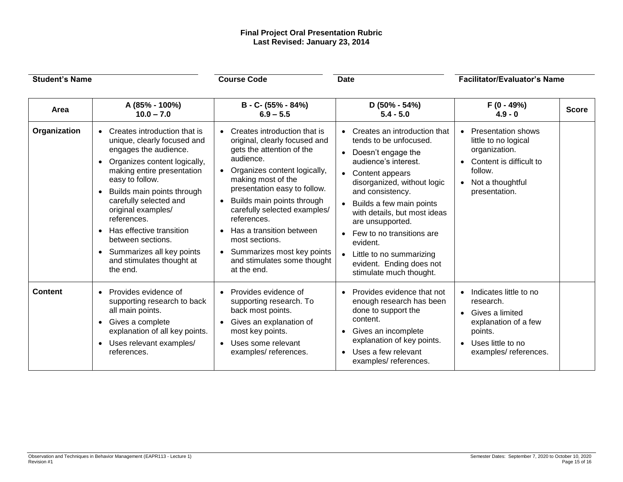# **Final Project Oral Presentation Rubric Last Revised: January 23, 2014**

| <b>Student's Name</b> |                                                                                                                                                                                                                                                                                                                                                                                                                                                            | <b>Course Code</b><br><b>Date</b>                                                                                                                                                                                                                                                                                                                                                                                                                        |                                                                                                                                                                                                                                                                                                                                                                                                                                            | <b>Facilitator/Evaluator's Name</b>                                                                                                                 |              |
|-----------------------|------------------------------------------------------------------------------------------------------------------------------------------------------------------------------------------------------------------------------------------------------------------------------------------------------------------------------------------------------------------------------------------------------------------------------------------------------------|----------------------------------------------------------------------------------------------------------------------------------------------------------------------------------------------------------------------------------------------------------------------------------------------------------------------------------------------------------------------------------------------------------------------------------------------------------|--------------------------------------------------------------------------------------------------------------------------------------------------------------------------------------------------------------------------------------------------------------------------------------------------------------------------------------------------------------------------------------------------------------------------------------------|-----------------------------------------------------------------------------------------------------------------------------------------------------|--------------|
| Area                  | A (85% - 100%)<br>$10.0 - 7.0$                                                                                                                                                                                                                                                                                                                                                                                                                             | B - C- (55% - 84%)<br>$6.9 - 5.5$                                                                                                                                                                                                                                                                                                                                                                                                                        | $D(50\% - 54\%)$<br>$5.4 - 5.0$                                                                                                                                                                                                                                                                                                                                                                                                            | $F(0 - 49%)$<br>$4.9 - 0$                                                                                                                           | <b>Score</b> |
| Organization          | Creates introduction that is<br>$\bullet$<br>unique, clearly focused and<br>engages the audience.<br>Organizes content logically,<br>$\bullet$<br>making entire presentation<br>easy to follow.<br>Builds main points through<br>$\bullet$<br>carefully selected and<br>original examples/<br>references.<br>Has effective transition<br>$\bullet$<br>between sections.<br>Summarizes all key points<br>$\bullet$<br>and stimulates thought at<br>the end. | Creates introduction that is<br>$\bullet$<br>original, clearly focused and<br>gets the attention of the<br>audience.<br>Organizes content logically,<br>making most of the<br>presentation easy to follow.<br>Builds main points through<br>$\bullet$<br>carefully selected examples/<br>references.<br>Has a transition between<br>$\bullet$<br>most sections.<br>Summarizes most key points<br>$\bullet$<br>and stimulates some thought<br>at the end. | Creates an introduction that<br>$\bullet$<br>tends to be unfocused.<br>Doesn't engage the<br>$\bullet$<br>audience's interest.<br>Content appears<br>$\bullet$<br>disorganized, without logic<br>and consistency.<br>Builds a few main points<br>with details, but most ideas<br>are unsupported.<br>Few to no transitions are<br>$\bullet$<br>evident.<br>Little to no summarizing<br>evident. Ending does not<br>stimulate much thought. | <b>Presentation shows</b><br>little to no logical<br>organization.<br>Content is difficult to<br>follow.<br>Not a thoughtful<br>presentation.       |              |
| <b>Content</b>        | Provides evidence of<br>$\bullet$<br>supporting research to back<br>all main points.<br>Gives a complete<br>$\bullet$<br>explanation of all key points.<br>Uses relevant examples/<br>$\bullet$<br>references.                                                                                                                                                                                                                                             | Provides evidence of<br>$\bullet$<br>supporting research. To<br>back most points.<br>Gives an explanation of<br>most key points.<br>Uses some relevant<br>$\bullet$<br>examples/references.                                                                                                                                                                                                                                                              | Provides evidence that not<br>$\bullet$<br>enough research has been<br>done to support the<br>content.<br>Gives an incomplete<br>$\bullet$<br>explanation of key points.<br>Uses a few relevant<br>$\bullet$<br>examples/references.                                                                                                                                                                                                       | Indicates little to no<br>research.<br>Gives a limited<br>$\bullet$<br>explanation of a few<br>points.<br>Uses little to no<br>examples/references. |              |